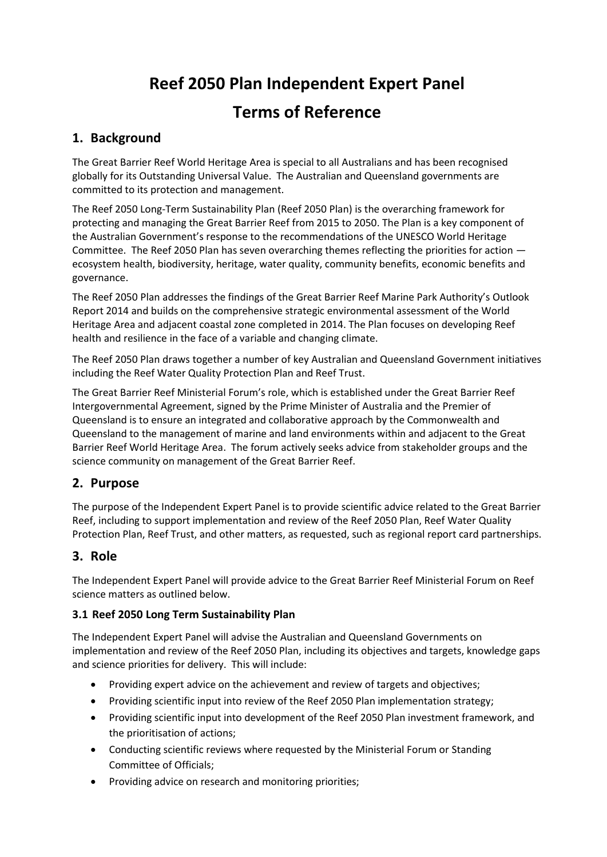# **Reef 2050 Plan Independent Expert Panel Terms of Reference**

# **1. Background**

The Great Barrier Reef World Heritage Area is special to all Australians and has been recognised globally for its Outstanding Universal Value. The Australian and Queensland governments are committed to its protection and management.

The Reef 2050 Long-Term Sustainability Plan (Reef 2050 Plan) is the overarching framework for protecting and managing the Great Barrier Reef from 2015 to 2050. The Plan is a key component of the Australian Government's response to the recommendations of the UNESCO World Heritage Committee. The Reef 2050 Plan has seven overarching themes reflecting the priorities for action ecosystem health, biodiversity, heritage, water quality, community benefits, economic benefits and governance.

The Reef 2050 Plan addresses the findings of the Great Barrier Reef Marine Park Authority's Outlook Report 2014 and builds on the comprehensive strategic environmental assessment of the World Heritage Area and adjacent coastal zone completed in 2014. The Plan focuses on developing Reef health and resilience in the face of a variable and changing climate.

The Reef 2050 Plan draws together a number of key Australian and Queensland Government initiatives including the Reef Water Quality Protection Plan and Reef Trust.

The Great Barrier Reef Ministerial Forum's role, which is established under the Great Barrier Reef Intergovernmental Agreement, signed by the Prime Minister of Australia and the Premier of Queensland is to ensure an integrated and collaborative approach by the Commonwealth and Queensland to the management of marine and land environments within and adjacent to the Great Barrier Reef World Heritage Area. The forum actively seeks advice from stakeholder groups and the science community on management of the Great Barrier Reef.

## **2. Purpose**

The purpose of the Independent Expert Panel is to provide scientific advice related to the Great Barrier Reef, including to support implementation and review of the Reef 2050 Plan, Reef Water Quality Protection Plan, Reef Trust, and other matters, as requested, such as regional report card partnerships.

## **3. Role**

The Independent Expert Panel will provide advice to the Great Barrier Reef Ministerial Forum on Reef science matters as outlined below.

## **3.1 Reef 2050 Long Term Sustainability Plan**

The Independent Expert Panel will advise the Australian and Queensland Governments on implementation and review of the Reef 2050 Plan, including its objectives and targets, knowledge gaps and science priorities for delivery. This will include:

- Providing expert advice on the achievement and review of targets and objectives;
- Providing scientific input into review of the Reef 2050 Plan implementation strategy;
- Providing scientific input into development of the Reef 2050 Plan investment framework, and the prioritisation of actions;
- Conducting scientific reviews where requested by the Ministerial Forum or Standing Committee of Officials;
- Providing advice on research and monitoring priorities;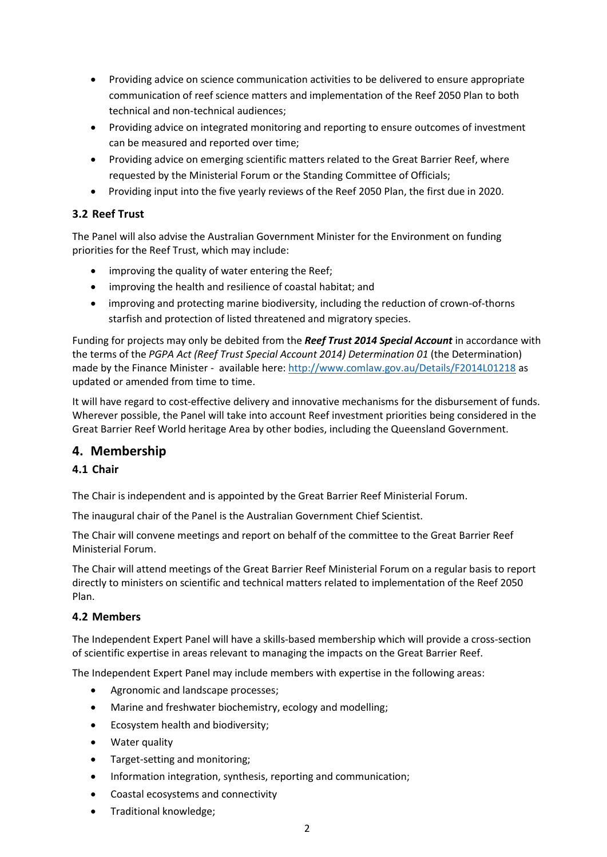- Providing advice on science communication activities to be delivered to ensure appropriate communication of reef science matters and implementation of the Reef 2050 Plan to both technical and non-technical audiences;
- Providing advice on integrated monitoring and reporting to ensure outcomes of investment can be measured and reported over time;
- Providing advice on emerging scientific matters related to the Great Barrier Reef, where requested by the Ministerial Forum or the Standing Committee of Officials;
- Providing input into the five yearly reviews of the Reef 2050 Plan, the first due in 2020.

#### **3.2 Reef Trust**

The Panel will also advise the Australian Government Minister for the Environment on funding priorities for the Reef Trust, which may include:

- improving the quality of water entering the Reef;
- improving the health and resilience of coastal habitat; and
- improving and protecting marine biodiversity, including the reduction of crown-of-thorns starfish and protection of listed threatened and migratory species.

Funding for projects may only be debited from the *Reef Trust 2014 Special Account* in accordance with the terms of the *PGPA Act (Reef Trust Special Account 2014) Determination 01* (the Determination) made by the Finance Minister - available here:<http://www.comlaw.gov.au/Details/F2014L01218> as updated or amended from time to time.

It will have regard to cost-effective delivery and innovative mechanisms for the disbursement of funds. Wherever possible, the Panel will take into account Reef investment priorities being considered in the Great Barrier Reef World heritage Area by other bodies, including the Queensland Government.

## **4. Membership**

## **4.1 Chair**

The Chair is independent and is appointed by the Great Barrier Reef Ministerial Forum.

The inaugural chair of the Panel is the Australian Government Chief Scientist.

The Chair will convene meetings and report on behalf of the committee to the Great Barrier Reef Ministerial Forum.

The Chair will attend meetings of the Great Barrier Reef Ministerial Forum on a regular basis to report directly to ministers on scientific and technical matters related to implementation of the Reef 2050 Plan.

#### **4.2 Members**

The Independent Expert Panel will have a skills-based membership which will provide a cross-section of scientific expertise in areas relevant to managing the impacts on the Great Barrier Reef.

The Independent Expert Panel may include members with expertise in the following areas:

- Agronomic and landscape processes;
- Marine and freshwater biochemistry, ecology and modelling;
- **Ecosystem health and biodiversity;**
- Water quality
- Target-setting and monitoring;
- Information integration, synthesis, reporting and communication;
- Coastal ecosystems and connectivity
- Traditional knowledge;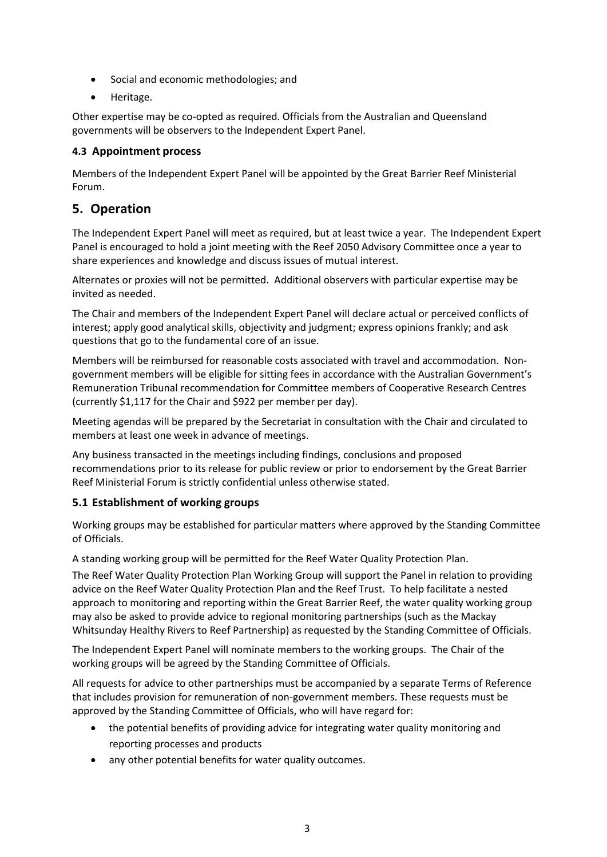- Social and economic methodologies; and
- Heritage.

Other expertise may be co-opted as required. Officials from the Australian and Queensland governments will be observers to the Independent Expert Panel.

#### **4.3 Appointment process**

Members of the Independent Expert Panel will be appointed by the Great Barrier Reef Ministerial Forum.

## **5. Operation**

The Independent Expert Panel will meet as required, but at least twice a year. The Independent Expert Panel is encouraged to hold a joint meeting with the Reef 2050 Advisory Committee once a year to share experiences and knowledge and discuss issues of mutual interest.

Alternates or proxies will not be permitted. Additional observers with particular expertise may be invited as needed.

The Chair and members of the Independent Expert Panel will declare actual or perceived conflicts of interest; apply good analytical skills, objectivity and judgment; express opinions frankly; and ask questions that go to the fundamental core of an issue.

Members will be reimbursed for reasonable costs associated with travel and accommodation. Nongovernment members will be eligible for sitting fees in accordance with the Australian Government's Remuneration Tribunal recommendation for Committee members of Cooperative Research Centres (currently \$1,117 for the Chair and \$922 per member per day).

Meeting agendas will be prepared by the Secretariat in consultation with the Chair and circulated to members at least one week in advance of meetings.

Any business transacted in the meetings including findings, conclusions and proposed recommendations prior to its release for public review or prior to endorsement by the Great Barrier Reef Ministerial Forum is strictly confidential unless otherwise stated.

## **5.1 Establishment of working groups**

Working groups may be established for particular matters where approved by the Standing Committee of Officials.

A standing working group will be permitted for the Reef Water Quality Protection Plan.

The Reef Water Quality Protection Plan Working Group will support the Panel in relation to providing advice on the Reef Water Quality Protection Plan and the Reef Trust. To help facilitate a nested approach to monitoring and reporting within the Great Barrier Reef, the water quality working group may also be asked to provide advice to regional monitoring partnerships (such as the Mackay Whitsunday Healthy Rivers to Reef Partnership) as requested by the Standing Committee of Officials.

The Independent Expert Panel will nominate members to the working groups. The Chair of the working groups will be agreed by the Standing Committee of Officials.

All requests for advice to other partnerships must be accompanied by a separate Terms of Reference that includes provision for remuneration of non-government members. These requests must be approved by the Standing Committee of Officials, who will have regard for:

- the potential benefits of providing advice for integrating water quality monitoring and reporting processes and products
- any other potential benefits for water quality outcomes.